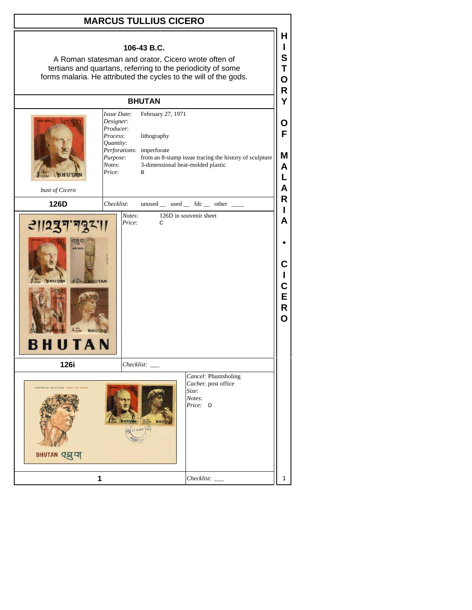## **MARCUS TULLIUS CICERO**

## **106-43 B.C.**

A Roman statesman and orator, Cicero wrote often of tertians and quartans, referring to the periodicity of some forms malaria. He attributed the cycles to the will of the gods.

## **BHUTAN**

| Issue Date:<br><b>LIR MAIL</b><br>Designer:<br>Producer:<br>Process:<br>Quantity:<br>Purpose:<br>Notes:<br>Price:<br><b>BHUT</b><br>bust of Cicero |                  | February 27, 1971<br>lithography<br>Perforations: imperforate<br>from an 8-stamp issue tracing the history of sculpture<br>3-dimensional heat-molded plastic<br>B | O<br>F<br>M<br>A<br>L<br>A           |
|----------------------------------------------------------------------------------------------------------------------------------------------------|------------------|-------------------------------------------------------------------------------------------------------------------------------------------------------------------|--------------------------------------|
| 126D                                                                                                                                               | Checklist:       | $unused$ __ used __ fdc __ other __                                                                                                                               | R                                    |
| 2  2377732  <br>4.700<br><b>BHUTAI</b><br><b>BHUTAN</b>                                                                                            | Notes:<br>Price: | 126D in souvenir sheet<br>C                                                                                                                                       | L<br>A<br>С<br>L<br>C<br>E<br>R<br>Ō |
| 126i                                                                                                                                               |                  | $Checklist:$ $\_\$                                                                                                                                                |                                      |
| HISTORICAL SCULPTURE FIRST DAY COVER<br>BHUTAN 254                                                                                                 | <b>WHUWAN</b>    | Cancel: Phuntsholing<br>Cachet: post office<br>Size:<br>Notes:<br>Price: D<br>4.14<br>A 27 FEB 0                                                                  |                                      |
| 1                                                                                                                                                  |                  | Checklist:                                                                                                                                                        | 1                                    |

**H I S T O R Y**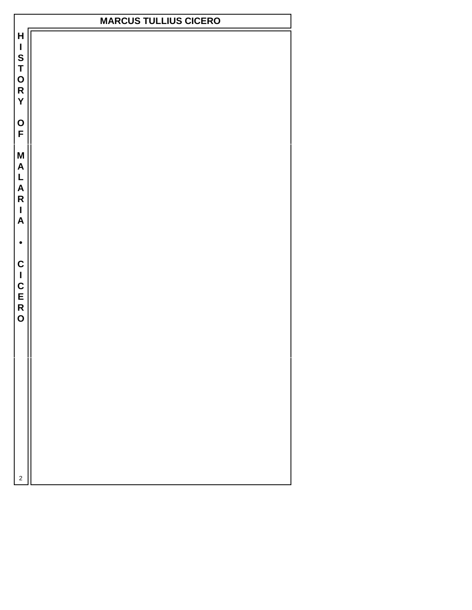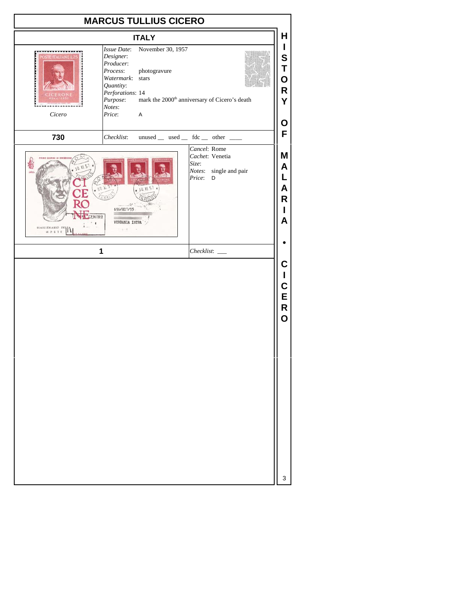|                                                                             | <b>MARCUS TULLIUS CICERO</b>                                                                                      |                                                                                                                                                                     |
|-----------------------------------------------------------------------------|-------------------------------------------------------------------------------------------------------------------|---------------------------------------------------------------------------------------------------------------------------------------------------------------------|
|                                                                             | <b>ITALY</b>                                                                                                      | Н                                                                                                                                                                   |
| <b>STE ITALIANE L</b><br>Cicero                                             | I<br>November 30, 1957<br>S<br>T<br>O<br>R<br>mark the 2000 <sup>th</sup> anniversary of Cicero's death<br>Υ<br>O |                                                                                                                                                                     |
| 730                                                                         | Checklist:                                                                                                        | F<br>unused _ used _ fdc _ other _                                                                                                                                  |
| <b>BIGRAG OF EMISSION</b><br>30 XI 57<br>ENTRO<br><b>BIMILLENABIO DELLA</b> | * 30, X1. 57<br>зv<br>696/M17/55<br><b>VERBANIA INTRA</b><br>$\sim$ 1 $-$<br>1                                    | Cancel: Rome<br>M<br>Cachet: Venetia<br>Size:<br>A<br>Notes:<br>single and pair<br>L<br>Price:<br>D<br>A<br>R<br>L<br>A<br>Checklist:<br>C<br>L<br>C<br>E<br>R<br>O |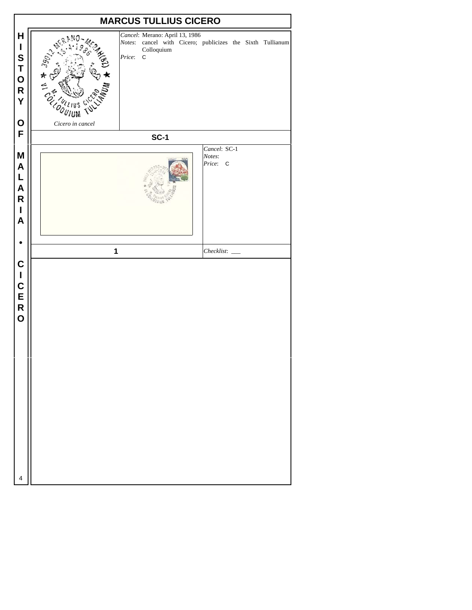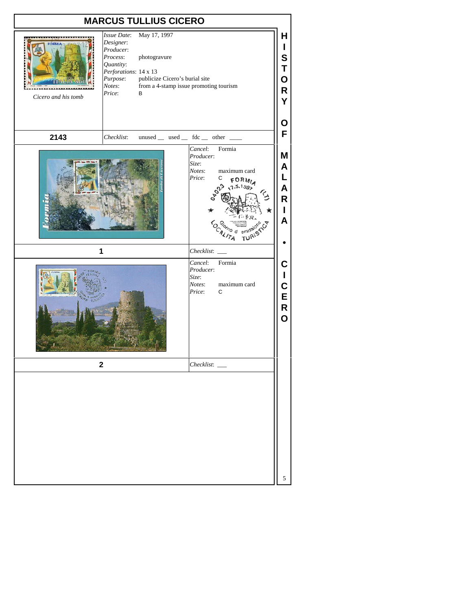| <b>MARCUS TULLIUS CICERO</b> |                                                                                                                                                                                                                                          |  |  |                                                                                                                      |                                                                                           |                                                                     |  |
|------------------------------|------------------------------------------------------------------------------------------------------------------------------------------------------------------------------------------------------------------------------------------|--|--|----------------------------------------------------------------------------------------------------------------------|-------------------------------------------------------------------------------------------|---------------------------------------------------------------------|--|
| ORMIA<br>Cicero and his tomb | May 17, 1997<br>Issue Date:<br>Designer:<br>Producer:<br>Process:<br>photogravure<br>Quantity:<br>Perforations: 14 x 13<br>publicize Cicero's burial site<br>Purpose:<br>from a 4-stamp issue promoting tourism<br>Notes:<br>Price:<br>В |  |  |                                                                                                                      |                                                                                           |                                                                     |  |
| 2143                         | Checklist:                                                                                                                                                                                                                               |  |  |                                                                                                                      | unused __ used __ fdc __ other __                                                         | F                                                                   |  |
| 1<br><b>TALLIN</b>           |                                                                                                                                                                                                                                          |  |  | Cancel:<br>Producer:<br>Size:<br>Notes:<br>Price:<br>Checklist:<br>Cancel:<br>Producer:<br>Size:<br>Notes:<br>Price: | Formia<br>maximum card<br>С<br>.5.1992<br><b>TURISTICT</b><br>Formia<br>maximum card<br>С | Μ<br>A<br>L<br>A<br>R<br>$\mathbf{I}$<br>A<br>C<br>L<br>C<br>E<br>R |  |
| $\mathbf 2$                  |                                                                                                                                                                                                                                          |  |  | $Checklist:$ $\_\_$                                                                                                  |                                                                                           | $\overline{O}$                                                      |  |
|                              |                                                                                                                                                                                                                                          |  |  |                                                                                                                      |                                                                                           | 5                                                                   |  |